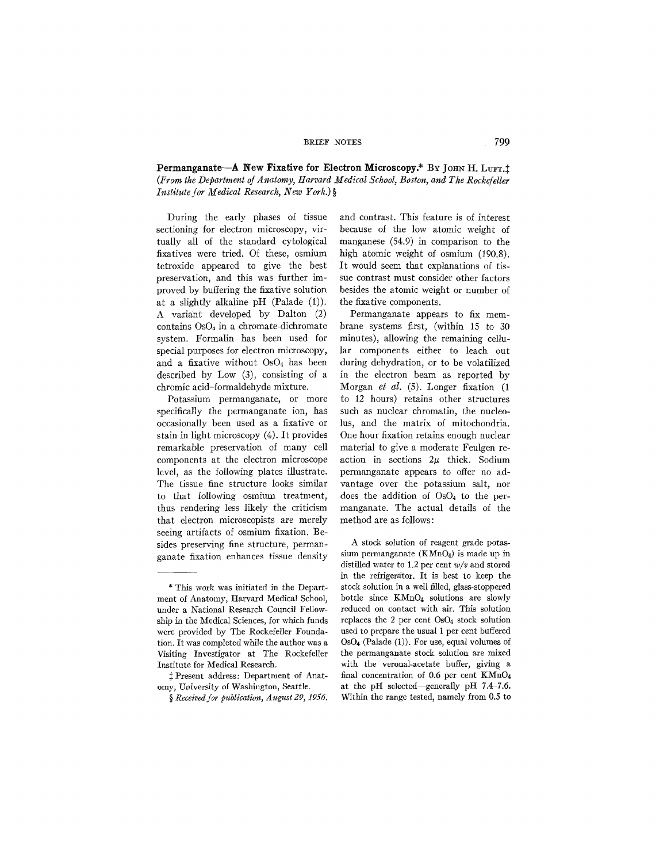**Permanganate--A New Fixative for Electron Microscopy.\*** By JOHN H. LUFT.<sup>†</sup> *(From the Department of Anatomy, Harvard Medical School, Boston, and The Rockefeller Institute for Medical Research, New York.) §* 

During the early phases of tissue sectioning for electron microscopy, virtually all of the standard cytological fixatives were tried. Of these, osmium tetroxide appeared to give the best preservation, and this was further improved by buffering the fixative solution at a slightly alkaline pH (Palade (1)). A variant developed by Dalton (2) contains Os04 in a chromate-dichromate system. Formalin has been used for special purposes for electron microscopy, and a fixative without  $OsO<sub>4</sub>$  has been described by Low (3), consisting of a chromic acid-formaldehyde mixture.

Potassium permanganate, or more specifically the permanganate ion, has occasionally been used as a fixative or stain in light microscopy (4). It provides remarkable preservation of many cell components at the electron microscope level, as the following plates illustrate. The tissue fine structure looks similar to that following osmium treatment, thus rendering less likely the criticism that electron microscopists are merely seeing artifacts of osmium fixation. Besides preserving fine structure, permanganate fixation enhances tissue density

and contrast. This feature is of interest because of the low atomic weight of manganese (54.9) in comparison to the high atomic weight of osmium (190.8). It would seem that explanations of tissue contrast must consider other factors besides the atomic weight or number of the fixative components.

Permanganate appears to fix membrane systems first, (within 15 to 30 minutes), allowing the remaining cellular components either to leach out during dehydration, or to be volatilized in the electron beam as reported by Morgan *et al.* (5). Longer fixation (1 to 12 hours) retains other structures such as nuclear chromatin, the nucleolus, and the matrix of mitochondria. One hour fixation retains enough nuclear material to give a moderate Feulgen reaction in sections  $2\mu$  thick. Sodium permanganate appears to offer no advantage over the potassium salt, nor does the addition of OsO4 to the permanganate. The actual details of the method are as follows:

A stock solution of reagent grade potassium permanganate  $(KMnO<sub>4</sub>)$  is made up in distilled water to 1.2 per cent *w/v* and stored in the refrigerator. It is best to keep the stock solution in a well filled, glass-stoppered bottle since KMnO4 solutions are slowly reduced on contact with air. This solution replaces the 2 per cent Os04 stock solution used to prepare the usual 1 per cent buffered OsO4 (Palade (1)). For use, equal volumes of the permanganate stock solution are mixed with the veronal-acetate buffer, giving a final concentration of 0.6 per cent KMnO4 at the pH selected--generally pH *7.4-7.6.*  Within the range tested, namely from 0.5 to

<sup>\*</sup> This work was initiated in the Department of Anatomy, Harvard Medical School, under a National Research Council Fellowship in the Medical Sciences, for which funds were provided by The Rockefeller Foundation. It was completed while the author was a Visiting Investigator at The Rockefeller Institute for Medical Research.

Present address: Department of Anatomy, University of Washington, Seattle.

<sup>§</sup> Received for publication, August 29, 1956.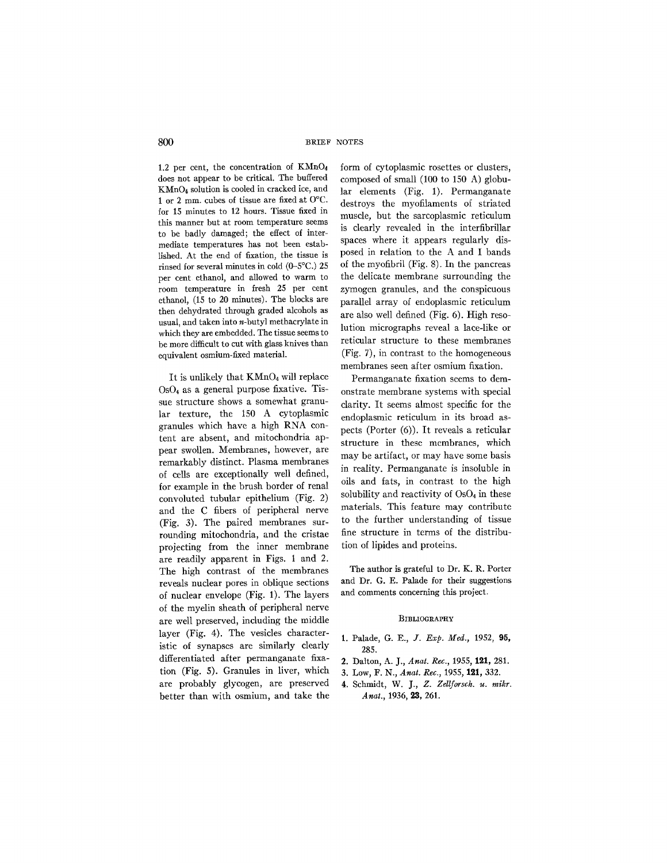1.2 per cent, the concentration of KMnO4 does not appear to be critical. The buffered KMnO4 solution is cooled in cracked ice, and 1 or 2 mm. cubes of tissue are fixed at O°C. for 15 minutes to 12 hours. Tissue fixed in this manner but at room temperature seems to be badly damaged; the effect of intermediate temperatures has not been established. At the end of fixation, the tissue is rinsed for several minutes in cold (0-5°C.) 25 per cent ethanol, and allowed to warm to room temperature in fresh 25 per cent ethanol, (15 to 20 minutes). The blocks are then dehydrated through graded alcohols as usual, and taken into n-butyl methacrylate in which they are embedded. The tissue seems to be more difficult to cut with glass knives than equivalent osmium-fixed material.

It is unlikely that KMnO4 will replace OsO4 as a general purpose fixative. Tissue structure shows a somewhat granular texture, the 150 A cytoplasmic granules which have a high RNA content are absent, and mitochondria appear swollen. Membranes, however, are remarkably distinct. Plasma membranes of cells are exceptionally well defined, for example in the brush border of renal convoluted tubular epithelium (Fig. 2) and the C fibers of peripheral nerve (Fig. 3). The paired membranes surrounding mitochondria, and the cristae projecting from the inner membrane are readily apparent in Figs. 1 and 2. The high contrast of the membranes reveals nuclear pores in oblique sections of nuclear envelope (Fig. 1). The layers of the myelin sheath of peripheral nerve are well preserved, including the middle layer (Fig. 4). The vesicles characteristic of synapses are similarly clearly differentiated after permanganate fixation (Fig. 5). Granules in liver, which are probably glycogen, are preserved better than with osmium, and take the form of cytoplasmic rosettes or clusters, composed of small (100 to 150 A) globular elements (Fig. 1). Permanganate destroys the myofilaments of striated muscle, but the sarcoplasmic reticulum is clearly revealed in the interfibrillar spaces where it appears regularly disposed in relation to the A and I bands of the myofibril (Fig. 8). In the pancreas the delicate membrane surrounding the zymogen granules, and the conspicuous parallel array of endoplasmic reticulum are also well defined (Fig. 6). High resolution micrographs reveal a lace-like or reticular structure to these membranes (Fig. 7), in contrast to the homogeneous membranes seen after osmium fixation.

Permanganate fixation seems to demonstrate membrane systems with special clarity. It seems almost specific for the endoplasmic reticulum in its broad aspects (Porter (6)). It reveals a reticular structure in these membranes, which may be artifact, or may have some basis in reality. Permanganate is insoluble in oils and fats, in contrast to the high solubility and reactivity of  $OsO<sub>4</sub>$  in these materials. This feature may contribute to the further understanding of tissue fine structure in terms of the distribution of lipides and proteins.

The author is grateful to Dr. K. R. Porter and Dr. G. E. Palade for their suggestions and comments concerning this project.

### BIBLIOGRAPHY

- 1. Palade, G. E., Y. *Exp. Med.,* 1952, 95, 285.
- 2. Dalton, A. J., *Anat. Rec.*, 1955, 121, 281.
- 3. Low, F. N., *Anat. Rec.,* 1955, 121, 332.
- 4. Schmidt, *W. J., Z. Zellforsch. u. mikr. Anat.,* 1936, 23, 261.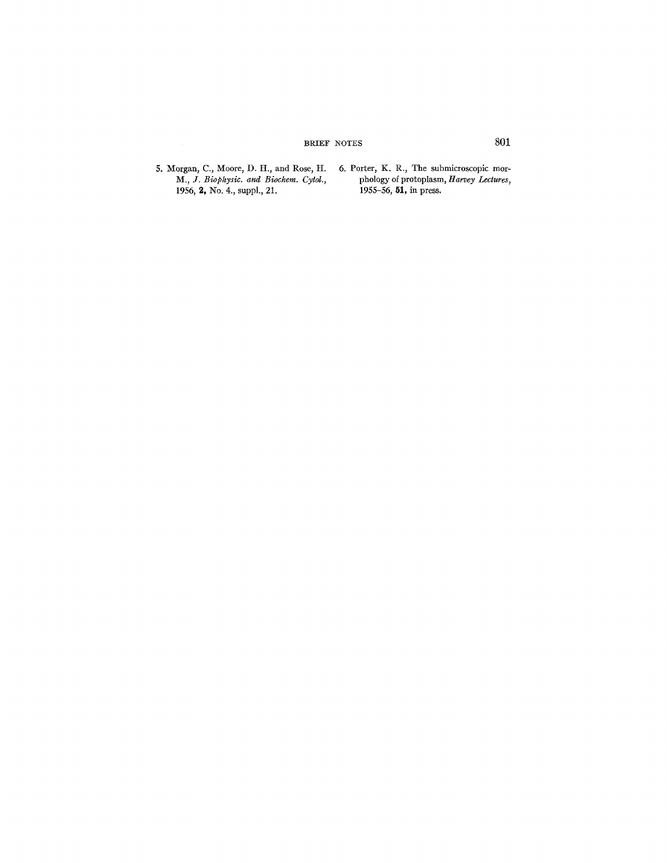# BRIEF NOTES 801

5. Morgan, C., Moore, D. H., and Rose, H. *M., Y. Biophysic. and Biochem. Cytol.,*  1956, 2, No. 4., suppl., 21. 6. Porter, K. R., The submicroscopic morphology of protoplasm, *Harvey Lectures,*  1955–56, **51,** in press.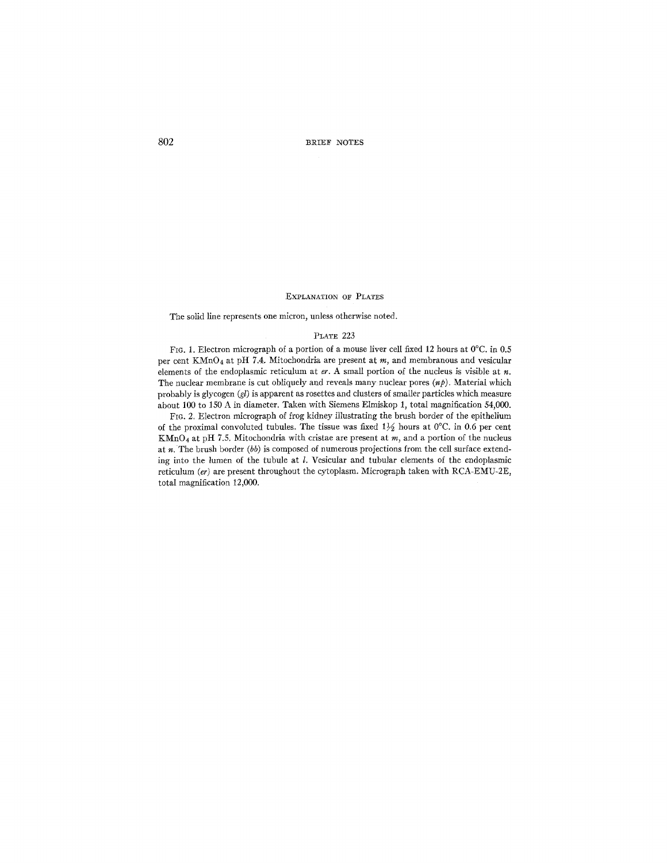802 BRIEF NOTES

### EXPLANATION OF PLATES

The solid line represents one micron, unless otherwise noted.

## PLATE 223

FIG. 1. Electron micrograph of a portion of a mouse liver cell fixed 12 hours at  $0^{\circ}$ C. in 0.5 per cent KMnO4 at pH 7.4. Mitochondria are present at *m,* and membranous and vesicular elements of the endoplasmic reticulum at  $er$ . A small portion of the nucleus is visible at  $n$ . The nuclear membrane is cut obliquely and reveals many nuclear pores  $(np)$ . Material which probably is glycogen  $(gl)$  is apparent as rosettes and clusters of smaller particles which measure about 100 to 150 A in diameter. Taken with Siemens Elmiskop 1, total magnification 54,000.

FIG. 2. Electron micrograph of frog kidney illustrating the brush border of the epithelium of the proximal convoluted tubules. The tissue was fixed  $1\frac{1}{2}$  hours at 0°C. in 0.6 per cent  $KMnO<sub>4</sub>$  at pH 7.5. Mitochondria with cristae are present at m, and a portion of the nucleus at n. The brush border *(bb)* is composed of numerous projections from the cell surface extending into the lumen of the tubule at  $l$ . Vesicular and tubular elements of the endoplasmic reticulum *(er)* are present throughout the cytoplasm. Micrograph taken with RCA-EMU-2E, total magnification 12,000.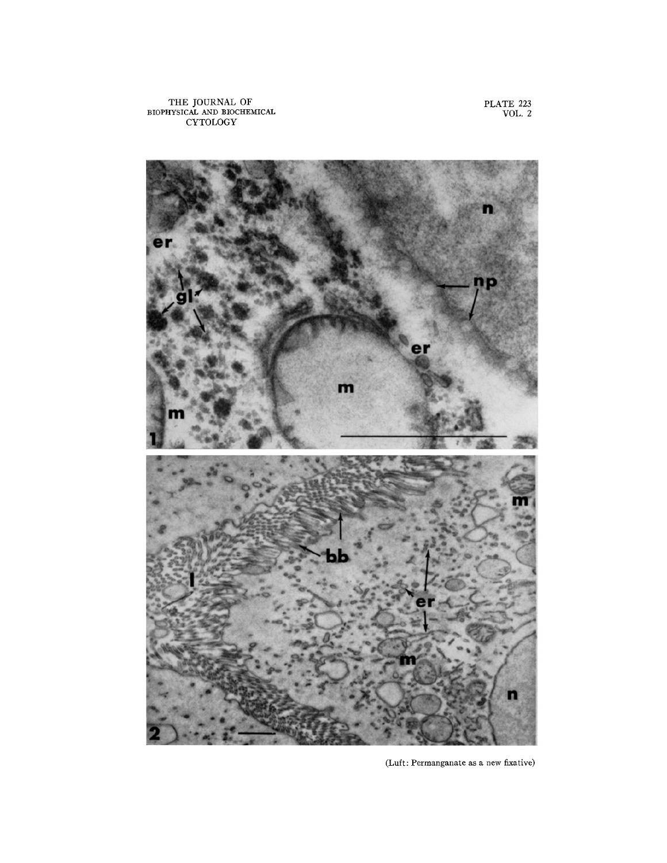THE JOURNAL OF **BIOPHYSICAL AND BIOCHEMICAL**  CYTOLOGY

**PLATE 223**  VOL. 2



(Luft: Permanganate as a new fixative)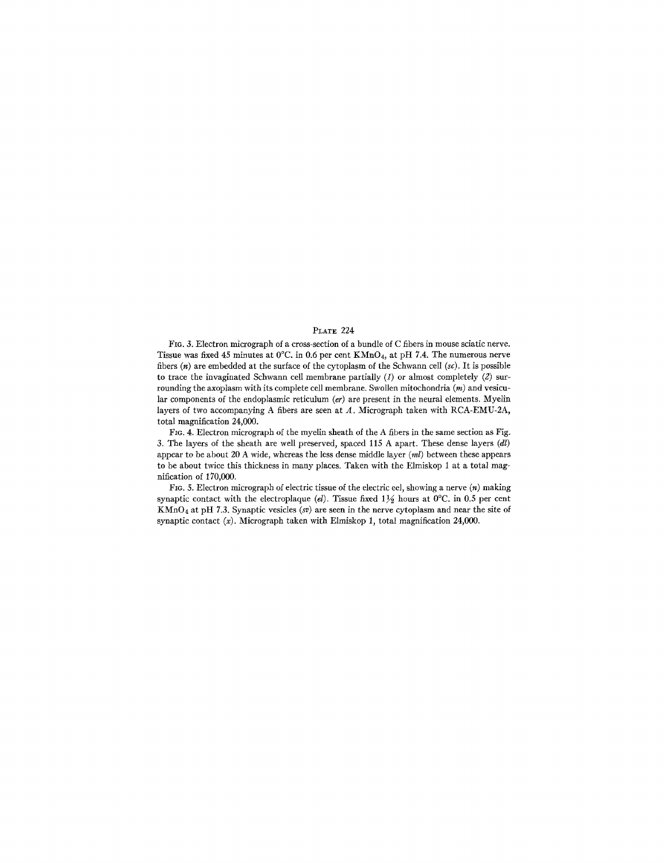## *PLATE* 224

FIG. 3. Electron micrograph of a cross-section of a bundle of C fibers in mouse sciatic nerve. Tissue was fixed 45 minutes at 0°C. in 0.6 per cent KMnO4, at pH 7.4. The numerous nerve fibers (n) are embedded at the surface of the cytoplasm of the Schwann cell *(sc).* It is possible to trace the invaginated Schwann cell membrane partially  $(1)$  or almost completely  $(2)$  surrounding the axoplasm with its complete cell membrane. Swollen mitochondria  $(m)$  and vesicular components of the endoplasmic reticulum  $(er)$  are present in the neural elements. Myelin layers of two accompanying A fibers are seen at A. Micrograph taken with RCA-EMU-2A, total magnification 24,000.

FIG. 4. Electron micrograph of the myelin sheath of the A fibers in the same section as Fig. 3. The layers of the sheath are well preserved, spaced 115 A apart. These dense layers *(dl)*  appear to be about 20 A wide, whereas the less dense middle layer *(ml)* between these appears to be about twice this thickness in many places; Taken with the Elmiskop 1 at a total magnification of 170,000.

FIG. 5. Electron micrograph of electric tissue of the electric eel, showing a nerve  $(n)$  making synaptic contact with the electroplaque (el). Tissue fixed  $1\frac{1}{2}$  hours at 0°C. in 0.5 per cent KMnO4 at pit 7.3. Synaptic vesicles *(sv)* are seen in the nerve cytoplasm and near the site of synaptic contact  $(x)$ . Micrograph taken with Elmiskop 1, total magnification 24,000.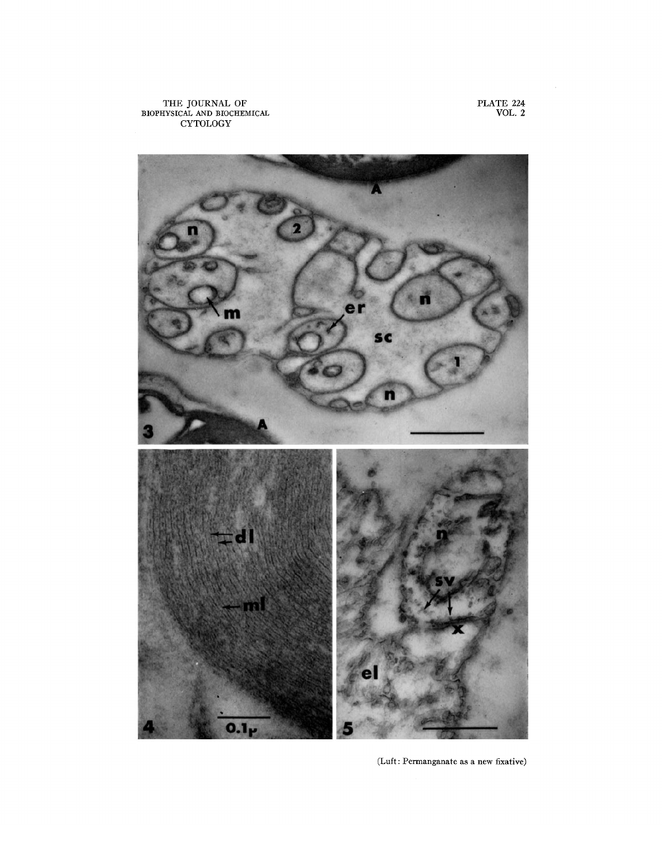THE JOURNAL OF BIOPHYSICAL AND BIOCHEMICAL CYTOLOGY

PLATE **224**  VOL. 2



(Luft : Permanganate as a new fixative)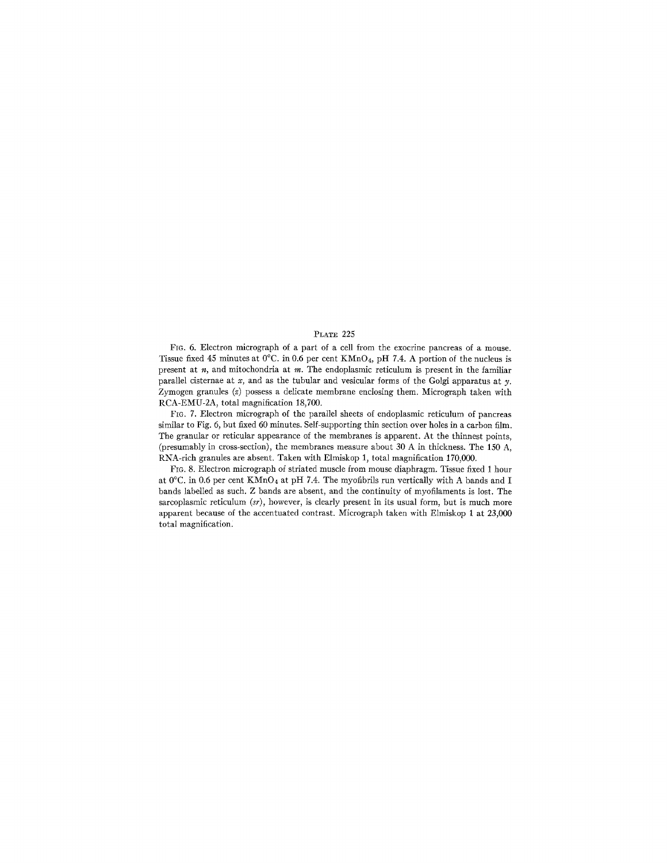## PLATE 225

FIG. 6. Electron micrograph of a part of a cell from the exocrine pancreas of a mouse. Tissue fixed 45 minutes at  $0^{\circ}$ C. in 0.6 per cent KMnO<sub>4</sub>, pH 7.4. A portion of the nucleus is present at  $n$ , and mitochondria at  $m$ . The endoplasmic reticulum is present in the familiar parallel cisternae at x, and as the tubular and vesicular forms of the Golgi apparatus at y. Zymogen granules  $(z)$  possess a delicate membrane enclosing them. Micrograph taken with RCA-EMU-2A, total magnification 18,700.

FIc. 7. Electron micrograph of the parallel sheets of endoplasmic reticulum of pancreas similar to Fig. 6, but fixed 60 minutes. Self-supporting thin section over holes in a carbon film. The granular or reticular appearance of the membranes is apparent. At the thinnest points, (presumably in cross-section), the membranes measure about  $30 \text{ A}$  in thickness. The 150 A, RNA-rich granules are absent. Taken with Elmiskop 1, total magnification 170,000.

FIG. 8. Electron micrograph of striated muscle from mouse diaphragm. Tissue fixed 1 hour at 0°C. in 0.6 per cent KMnO<sub>4</sub> at pH 7.4. The myofibrils run vertically with A bands and I bands labelled as such. Z bands are absent, and the continuity of myofilaments is lost. The sarcoplasmic reticulum *(sr),* however, is clearly present in its usual form, but is much more apparent because of the accentuated contrast. Micrograph taken with Elmiskop 1 at 23,000 total magnification.